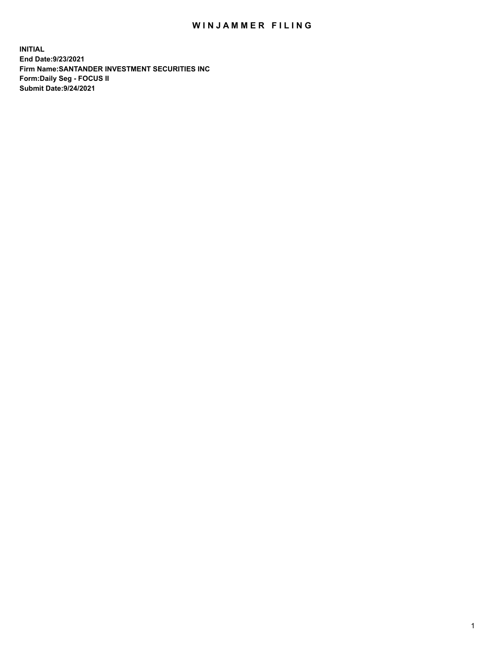## WIN JAMMER FILING

**INITIAL End Date:9/23/2021 Firm Name:SANTANDER INVESTMENT SECURITIES INC Form:Daily Seg - FOCUS II Submit Date:9/24/2021**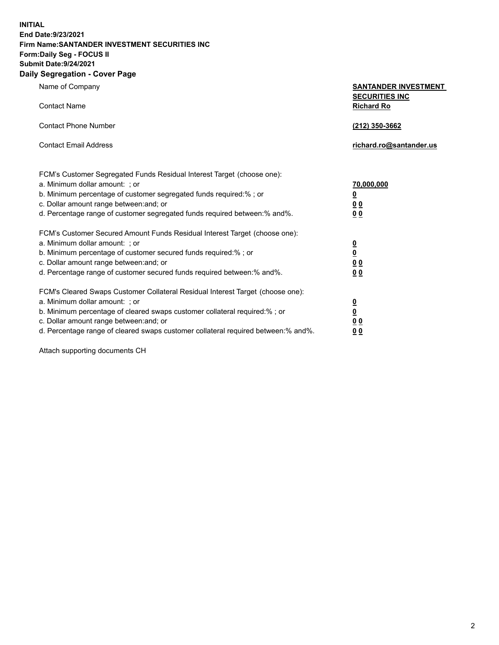**INITIAL End Date:9/23/2021 Firm Name:SANTANDER INVESTMENT SECURITIES INC Form:Daily Seg - FOCUS II Submit Date:9/24/2021 Daily Segregation - Cover Page**

| $0091090001 - 00101 + 090$                                                        |                                            |  |  |  |  |
|-----------------------------------------------------------------------------------|--------------------------------------------|--|--|--|--|
| Name of Company                                                                   | <b>SANTANDER INVESTMENT</b>                |  |  |  |  |
| <b>Contact Name</b>                                                               | <b>SECURITIES INC</b><br><b>Richard Ro</b> |  |  |  |  |
| <b>Contact Phone Number</b>                                                       | (212) 350-3662                             |  |  |  |  |
| <b>Contact Email Address</b>                                                      | richard.ro@santander.us                    |  |  |  |  |
| FCM's Customer Segregated Funds Residual Interest Target (choose one):            |                                            |  |  |  |  |
| a. Minimum dollar amount: ; or                                                    | 70,000,000                                 |  |  |  |  |
| b. Minimum percentage of customer segregated funds required:%; or                 | $\overline{\mathbf{0}}$                    |  |  |  |  |
| c. Dollar amount range between: and; or                                           | 0 <sub>0</sub>                             |  |  |  |  |
| d. Percentage range of customer segregated funds required between: % and %.       | 0 <sub>0</sub>                             |  |  |  |  |
| FCM's Customer Secured Amount Funds Residual Interest Target (choose one):        |                                            |  |  |  |  |
| a. Minimum dollar amount: ; or                                                    | $\overline{\mathbf{0}}$                    |  |  |  |  |
| b. Minimum percentage of customer secured funds required:%; or                    | $\underline{\mathbf{0}}$                   |  |  |  |  |
| c. Dollar amount range between: and; or                                           | 0 <sub>0</sub>                             |  |  |  |  |
| d. Percentage range of customer secured funds required between: % and %.          | 0 <sub>0</sub>                             |  |  |  |  |
| FCM's Cleared Swaps Customer Collateral Residual Interest Target (choose one):    |                                            |  |  |  |  |
| a. Minimum dollar amount: ; or                                                    | $\overline{\mathbf{0}}$                    |  |  |  |  |
| b. Minimum percentage of cleared swaps customer collateral required:%; or         | $\underline{\mathbf{0}}$                   |  |  |  |  |
| c. Dollar amount range between: and; or                                           | 0 <sub>0</sub>                             |  |  |  |  |
| d. Percentage range of cleared swaps customer collateral required between:% and%. | 00                                         |  |  |  |  |

Attach supporting documents CH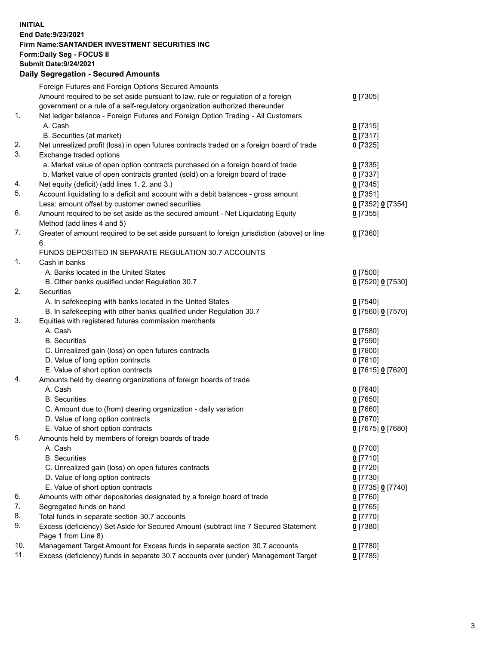**INITIAL End Date:9/23/2021 Firm Name:SANTANDER INVESTMENT SECURITIES INC Form:Daily Seg - FOCUS II Submit Date:9/24/2021 Daily Segregation - Secured Amounts**

|     | Foreign Futures and Foreign Options Secured Amounts                                                        |                          |
|-----|------------------------------------------------------------------------------------------------------------|--------------------------|
|     | Amount required to be set aside pursuant to law, rule or regulation of a foreign                           | $0$ [7305]               |
|     | government or a rule of a self-regulatory organization authorized thereunder                               |                          |
| 1.  | Net ledger balance - Foreign Futures and Foreign Option Trading - All Customers                            |                          |
|     | A. Cash                                                                                                    | $0$ [7315]               |
|     | B. Securities (at market)                                                                                  | $0$ [7317]               |
| 2.  | Net unrealized profit (loss) in open futures contracts traded on a foreign board of trade                  | $0$ [7325]               |
| 3.  | Exchange traded options                                                                                    |                          |
|     | a. Market value of open option contracts purchased on a foreign board of trade                             | $0$ [7335]               |
|     | b. Market value of open contracts granted (sold) on a foreign board of trade                               | $0$ [7337]               |
| 4.  | Net equity (deficit) (add lines 1. 2. and 3.)                                                              | $0$ [7345]               |
| 5.  | Account liquidating to a deficit and account with a debit balances - gross amount                          | $0$ [7351]               |
|     | Less: amount offset by customer owned securities                                                           | 0 [7352] 0 [7354]        |
| 6.  | Amount required to be set aside as the secured amount - Net Liquidating Equity                             | $0$ [7355]               |
|     | Method (add lines 4 and 5)                                                                                 |                          |
| 7.  | Greater of amount required to be set aside pursuant to foreign jurisdiction (above) or line                | $0$ [7360]               |
|     | 6.                                                                                                         |                          |
|     | FUNDS DEPOSITED IN SEPARATE REGULATION 30.7 ACCOUNTS                                                       |                          |
| 1.  | Cash in banks                                                                                              |                          |
|     | A. Banks located in the United States                                                                      | $0$ [7500]               |
|     | B. Other banks qualified under Regulation 30.7                                                             | 0 [7520] 0 [7530]        |
| 2.  | <b>Securities</b>                                                                                          |                          |
|     | A. In safekeeping with banks located in the United States                                                  | $0$ [7540]               |
|     | B. In safekeeping with other banks qualified under Regulation 30.7                                         | 0 [7560] 0 [7570]        |
| 3.  | Equities with registered futures commission merchants                                                      |                          |
|     | A. Cash                                                                                                    | $0$ [7580]               |
|     | <b>B.</b> Securities                                                                                       | $0$ [7590]               |
|     | C. Unrealized gain (loss) on open futures contracts                                                        | $0$ [7600]               |
|     | D. Value of long option contracts                                                                          | $0$ [7610]               |
|     | E. Value of short option contracts                                                                         | 0 [7615] 0 [7620]        |
| 4.  | Amounts held by clearing organizations of foreign boards of trade                                          |                          |
|     | A. Cash                                                                                                    | $0$ [7640]               |
|     | <b>B.</b> Securities                                                                                       | $0$ [7650]               |
|     | C. Amount due to (from) clearing organization - daily variation                                            | $0$ [7660]               |
|     | D. Value of long option contracts                                                                          | $0$ [7670]               |
|     | E. Value of short option contracts                                                                         | 0 [7675] 0 [7680]        |
| 5.  | Amounts held by members of foreign boards of trade                                                         |                          |
|     | A. Cash                                                                                                    | $0$ [7700]               |
|     | <b>B.</b> Securities                                                                                       | $0$ [7710]               |
|     | C. Unrealized gain (loss) on open futures contracts                                                        | $0$ [7720]               |
|     | D. Value of long option contracts                                                                          | $0$ [7730]               |
|     | E. Value of short option contracts                                                                         | 0 [7735] 0 [7740]        |
| 6.  | Amounts with other depositories designated by a foreign board of trade                                     | $0$ [7760]               |
| 7.  | Segregated funds on hand                                                                                   |                          |
| 8.  | Total funds in separate section 30.7 accounts                                                              | $0$ [7765]<br>$0$ [7770] |
| 9.  |                                                                                                            |                          |
|     | Excess (deficiency) Set Aside for Secured Amount (subtract line 7 Secured Statement<br>Page 1 from Line 8) | $0$ [7380]               |
| 10. | Management Target Amount for Excess funds in separate section 30.7 accounts                                | $0$ [7780]               |
| 11. | Excess (deficiency) funds in separate 30.7 accounts over (under) Management Target                         | $0$ [7785]               |
|     |                                                                                                            |                          |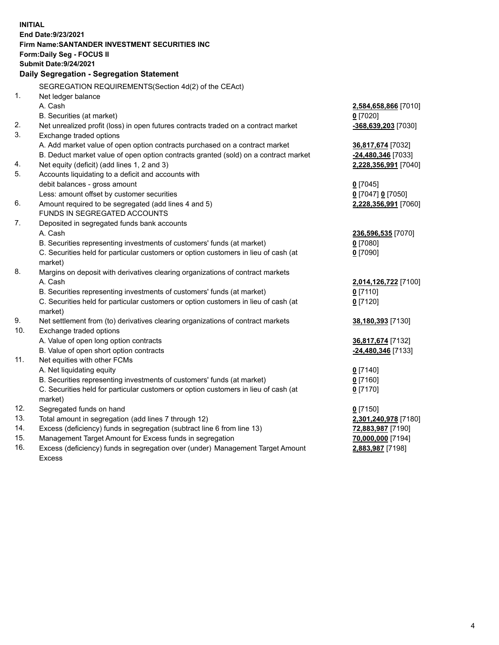| End Date: 9/23/2021<br>Firm Name: SANTANDER INVESTMENT SECURITIES INC<br>Form: Daily Seg - FOCUS II<br><b>Submit Date: 9/24/2021</b><br>Daily Segregation - Segregation Statement<br>SEGREGATION REQUIREMENTS(Section 4d(2) of the CEAct)<br>1.<br>Net ledger balance<br>A. Cash<br>2,584,658,866 [7010]<br>B. Securities (at market)<br>$0$ [7020]<br>2.<br>Net unrealized profit (loss) in open futures contracts traded on a contract market<br>-368,639,203 [7030]<br>3.<br>Exchange traded options<br>A. Add market value of open option contracts purchased on a contract market<br>36,817,674 [7032]<br>B. Deduct market value of open option contracts granted (sold) on a contract market<br>-24,480,346 [7033]<br>4.<br>Net equity (deficit) (add lines 1, 2 and 3)<br>2,228,356,991 [7040]<br>5.<br>Accounts liquidating to a deficit and accounts with<br>debit balances - gross amount<br>$0$ [7045]<br>Less: amount offset by customer securities<br>0 [7047] 0 [7050]<br>6.<br>Amount required to be segregated (add lines 4 and 5)<br>2,228,356,991 [7060]<br>FUNDS IN SEGREGATED ACCOUNTS<br>7.<br>Deposited in segregated funds bank accounts<br>A. Cash<br>236,596,535 [7070]<br>B. Securities representing investments of customers' funds (at market)<br>$0$ [7080]<br>C. Securities held for particular customers or option customers in lieu of cash (at<br>$0$ [7090]<br>market)<br>8.<br>Margins on deposit with derivatives clearing organizations of contract markets<br>A. Cash<br>2,014,126,722 [7100]<br>B. Securities representing investments of customers' funds (at market)<br>$0$ [7110]<br>C. Securities held for particular customers or option customers in lieu of cash (at<br>$0$ [7120]<br>market)<br>9.<br>Net settlement from (to) derivatives clearing organizations of contract markets<br>38,180,393 [7130]<br>10.<br>Exchange traded options<br>A. Value of open long option contracts<br>36,817,674 [7132]<br>B. Value of open short option contracts<br>-24,480,346 [7133]<br>11.<br>Net equities with other FCMs | <b>INITIAL</b> |  |
|--------------------------------------------------------------------------------------------------------------------------------------------------------------------------------------------------------------------------------------------------------------------------------------------------------------------------------------------------------------------------------------------------------------------------------------------------------------------------------------------------------------------------------------------------------------------------------------------------------------------------------------------------------------------------------------------------------------------------------------------------------------------------------------------------------------------------------------------------------------------------------------------------------------------------------------------------------------------------------------------------------------------------------------------------------------------------------------------------------------------------------------------------------------------------------------------------------------------------------------------------------------------------------------------------------------------------------------------------------------------------------------------------------------------------------------------------------------------------------------------------------------------------------------------------------------------------------------------------------------------------------------------------------------------------------------------------------------------------------------------------------------------------------------------------------------------------------------------------------------------------------------------------------------------------------------------------------------------------------------------------------------------------------------------------------------------|----------------|--|
|                                                                                                                                                                                                                                                                                                                                                                                                                                                                                                                                                                                                                                                                                                                                                                                                                                                                                                                                                                                                                                                                                                                                                                                                                                                                                                                                                                                                                                                                                                                                                                                                                                                                                                                                                                                                                                                                                                                                                                                                                                                                    |                |  |
|                                                                                                                                                                                                                                                                                                                                                                                                                                                                                                                                                                                                                                                                                                                                                                                                                                                                                                                                                                                                                                                                                                                                                                                                                                                                                                                                                                                                                                                                                                                                                                                                                                                                                                                                                                                                                                                                                                                                                                                                                                                                    |                |  |
|                                                                                                                                                                                                                                                                                                                                                                                                                                                                                                                                                                                                                                                                                                                                                                                                                                                                                                                                                                                                                                                                                                                                                                                                                                                                                                                                                                                                                                                                                                                                                                                                                                                                                                                                                                                                                                                                                                                                                                                                                                                                    |                |  |
|                                                                                                                                                                                                                                                                                                                                                                                                                                                                                                                                                                                                                                                                                                                                                                                                                                                                                                                                                                                                                                                                                                                                                                                                                                                                                                                                                                                                                                                                                                                                                                                                                                                                                                                                                                                                                                                                                                                                                                                                                                                                    |                |  |
|                                                                                                                                                                                                                                                                                                                                                                                                                                                                                                                                                                                                                                                                                                                                                                                                                                                                                                                                                                                                                                                                                                                                                                                                                                                                                                                                                                                                                                                                                                                                                                                                                                                                                                                                                                                                                                                                                                                                                                                                                                                                    |                |  |
|                                                                                                                                                                                                                                                                                                                                                                                                                                                                                                                                                                                                                                                                                                                                                                                                                                                                                                                                                                                                                                                                                                                                                                                                                                                                                                                                                                                                                                                                                                                                                                                                                                                                                                                                                                                                                                                                                                                                                                                                                                                                    |                |  |
|                                                                                                                                                                                                                                                                                                                                                                                                                                                                                                                                                                                                                                                                                                                                                                                                                                                                                                                                                                                                                                                                                                                                                                                                                                                                                                                                                                                                                                                                                                                                                                                                                                                                                                                                                                                                                                                                                                                                                                                                                                                                    |                |  |
|                                                                                                                                                                                                                                                                                                                                                                                                                                                                                                                                                                                                                                                                                                                                                                                                                                                                                                                                                                                                                                                                                                                                                                                                                                                                                                                                                                                                                                                                                                                                                                                                                                                                                                                                                                                                                                                                                                                                                                                                                                                                    |                |  |
|                                                                                                                                                                                                                                                                                                                                                                                                                                                                                                                                                                                                                                                                                                                                                                                                                                                                                                                                                                                                                                                                                                                                                                                                                                                                                                                                                                                                                                                                                                                                                                                                                                                                                                                                                                                                                                                                                                                                                                                                                                                                    |                |  |
|                                                                                                                                                                                                                                                                                                                                                                                                                                                                                                                                                                                                                                                                                                                                                                                                                                                                                                                                                                                                                                                                                                                                                                                                                                                                                                                                                                                                                                                                                                                                                                                                                                                                                                                                                                                                                                                                                                                                                                                                                                                                    |                |  |
|                                                                                                                                                                                                                                                                                                                                                                                                                                                                                                                                                                                                                                                                                                                                                                                                                                                                                                                                                                                                                                                                                                                                                                                                                                                                                                                                                                                                                                                                                                                                                                                                                                                                                                                                                                                                                                                                                                                                                                                                                                                                    |                |  |
|                                                                                                                                                                                                                                                                                                                                                                                                                                                                                                                                                                                                                                                                                                                                                                                                                                                                                                                                                                                                                                                                                                                                                                                                                                                                                                                                                                                                                                                                                                                                                                                                                                                                                                                                                                                                                                                                                                                                                                                                                                                                    |                |  |
|                                                                                                                                                                                                                                                                                                                                                                                                                                                                                                                                                                                                                                                                                                                                                                                                                                                                                                                                                                                                                                                                                                                                                                                                                                                                                                                                                                                                                                                                                                                                                                                                                                                                                                                                                                                                                                                                                                                                                                                                                                                                    |                |  |
|                                                                                                                                                                                                                                                                                                                                                                                                                                                                                                                                                                                                                                                                                                                                                                                                                                                                                                                                                                                                                                                                                                                                                                                                                                                                                                                                                                                                                                                                                                                                                                                                                                                                                                                                                                                                                                                                                                                                                                                                                                                                    |                |  |
|                                                                                                                                                                                                                                                                                                                                                                                                                                                                                                                                                                                                                                                                                                                                                                                                                                                                                                                                                                                                                                                                                                                                                                                                                                                                                                                                                                                                                                                                                                                                                                                                                                                                                                                                                                                                                                                                                                                                                                                                                                                                    |                |  |
|                                                                                                                                                                                                                                                                                                                                                                                                                                                                                                                                                                                                                                                                                                                                                                                                                                                                                                                                                                                                                                                                                                                                                                                                                                                                                                                                                                                                                                                                                                                                                                                                                                                                                                                                                                                                                                                                                                                                                                                                                                                                    |                |  |
|                                                                                                                                                                                                                                                                                                                                                                                                                                                                                                                                                                                                                                                                                                                                                                                                                                                                                                                                                                                                                                                                                                                                                                                                                                                                                                                                                                                                                                                                                                                                                                                                                                                                                                                                                                                                                                                                                                                                                                                                                                                                    |                |  |
|                                                                                                                                                                                                                                                                                                                                                                                                                                                                                                                                                                                                                                                                                                                                                                                                                                                                                                                                                                                                                                                                                                                                                                                                                                                                                                                                                                                                                                                                                                                                                                                                                                                                                                                                                                                                                                                                                                                                                                                                                                                                    |                |  |
|                                                                                                                                                                                                                                                                                                                                                                                                                                                                                                                                                                                                                                                                                                                                                                                                                                                                                                                                                                                                                                                                                                                                                                                                                                                                                                                                                                                                                                                                                                                                                                                                                                                                                                                                                                                                                                                                                                                                                                                                                                                                    |                |  |
|                                                                                                                                                                                                                                                                                                                                                                                                                                                                                                                                                                                                                                                                                                                                                                                                                                                                                                                                                                                                                                                                                                                                                                                                                                                                                                                                                                                                                                                                                                                                                                                                                                                                                                                                                                                                                                                                                                                                                                                                                                                                    |                |  |
|                                                                                                                                                                                                                                                                                                                                                                                                                                                                                                                                                                                                                                                                                                                                                                                                                                                                                                                                                                                                                                                                                                                                                                                                                                                                                                                                                                                                                                                                                                                                                                                                                                                                                                                                                                                                                                                                                                                                                                                                                                                                    |                |  |
|                                                                                                                                                                                                                                                                                                                                                                                                                                                                                                                                                                                                                                                                                                                                                                                                                                                                                                                                                                                                                                                                                                                                                                                                                                                                                                                                                                                                                                                                                                                                                                                                                                                                                                                                                                                                                                                                                                                                                                                                                                                                    |                |  |
|                                                                                                                                                                                                                                                                                                                                                                                                                                                                                                                                                                                                                                                                                                                                                                                                                                                                                                                                                                                                                                                                                                                                                                                                                                                                                                                                                                                                                                                                                                                                                                                                                                                                                                                                                                                                                                                                                                                                                                                                                                                                    |                |  |
|                                                                                                                                                                                                                                                                                                                                                                                                                                                                                                                                                                                                                                                                                                                                                                                                                                                                                                                                                                                                                                                                                                                                                                                                                                                                                                                                                                                                                                                                                                                                                                                                                                                                                                                                                                                                                                                                                                                                                                                                                                                                    |                |  |
|                                                                                                                                                                                                                                                                                                                                                                                                                                                                                                                                                                                                                                                                                                                                                                                                                                                                                                                                                                                                                                                                                                                                                                                                                                                                                                                                                                                                                                                                                                                                                                                                                                                                                                                                                                                                                                                                                                                                                                                                                                                                    |                |  |
|                                                                                                                                                                                                                                                                                                                                                                                                                                                                                                                                                                                                                                                                                                                                                                                                                                                                                                                                                                                                                                                                                                                                                                                                                                                                                                                                                                                                                                                                                                                                                                                                                                                                                                                                                                                                                                                                                                                                                                                                                                                                    |                |  |
|                                                                                                                                                                                                                                                                                                                                                                                                                                                                                                                                                                                                                                                                                                                                                                                                                                                                                                                                                                                                                                                                                                                                                                                                                                                                                                                                                                                                                                                                                                                                                                                                                                                                                                                                                                                                                                                                                                                                                                                                                                                                    |                |  |
|                                                                                                                                                                                                                                                                                                                                                                                                                                                                                                                                                                                                                                                                                                                                                                                                                                                                                                                                                                                                                                                                                                                                                                                                                                                                                                                                                                                                                                                                                                                                                                                                                                                                                                                                                                                                                                                                                                                                                                                                                                                                    |                |  |
|                                                                                                                                                                                                                                                                                                                                                                                                                                                                                                                                                                                                                                                                                                                                                                                                                                                                                                                                                                                                                                                                                                                                                                                                                                                                                                                                                                                                                                                                                                                                                                                                                                                                                                                                                                                                                                                                                                                                                                                                                                                                    |                |  |
|                                                                                                                                                                                                                                                                                                                                                                                                                                                                                                                                                                                                                                                                                                                                                                                                                                                                                                                                                                                                                                                                                                                                                                                                                                                                                                                                                                                                                                                                                                                                                                                                                                                                                                                                                                                                                                                                                                                                                                                                                                                                    |                |  |
|                                                                                                                                                                                                                                                                                                                                                                                                                                                                                                                                                                                                                                                                                                                                                                                                                                                                                                                                                                                                                                                                                                                                                                                                                                                                                                                                                                                                                                                                                                                                                                                                                                                                                                                                                                                                                                                                                                                                                                                                                                                                    |                |  |
|                                                                                                                                                                                                                                                                                                                                                                                                                                                                                                                                                                                                                                                                                                                                                                                                                                                                                                                                                                                                                                                                                                                                                                                                                                                                                                                                                                                                                                                                                                                                                                                                                                                                                                                                                                                                                                                                                                                                                                                                                                                                    |                |  |
|                                                                                                                                                                                                                                                                                                                                                                                                                                                                                                                                                                                                                                                                                                                                                                                                                                                                                                                                                                                                                                                                                                                                                                                                                                                                                                                                                                                                                                                                                                                                                                                                                                                                                                                                                                                                                                                                                                                                                                                                                                                                    |                |  |
|                                                                                                                                                                                                                                                                                                                                                                                                                                                                                                                                                                                                                                                                                                                                                                                                                                                                                                                                                                                                                                                                                                                                                                                                                                                                                                                                                                                                                                                                                                                                                                                                                                                                                                                                                                                                                                                                                                                                                                                                                                                                    |                |  |
| A. Net liquidating equity<br>$0$ [7140]                                                                                                                                                                                                                                                                                                                                                                                                                                                                                                                                                                                                                                                                                                                                                                                                                                                                                                                                                                                                                                                                                                                                                                                                                                                                                                                                                                                                                                                                                                                                                                                                                                                                                                                                                                                                                                                                                                                                                                                                                            |                |  |
| B. Securities representing investments of customers' funds (at market)<br>$0$ [7160]<br>C. Securities held for particular customers or option customers in lieu of cash (at<br>$0$ [7170]                                                                                                                                                                                                                                                                                                                                                                                                                                                                                                                                                                                                                                                                                                                                                                                                                                                                                                                                                                                                                                                                                                                                                                                                                                                                                                                                                                                                                                                                                                                                                                                                                                                                                                                                                                                                                                                                          |                |  |
| market)                                                                                                                                                                                                                                                                                                                                                                                                                                                                                                                                                                                                                                                                                                                                                                                                                                                                                                                                                                                                                                                                                                                                                                                                                                                                                                                                                                                                                                                                                                                                                                                                                                                                                                                                                                                                                                                                                                                                                                                                                                                            |                |  |
| 12.<br>Segregated funds on hand<br>$0$ [7150]                                                                                                                                                                                                                                                                                                                                                                                                                                                                                                                                                                                                                                                                                                                                                                                                                                                                                                                                                                                                                                                                                                                                                                                                                                                                                                                                                                                                                                                                                                                                                                                                                                                                                                                                                                                                                                                                                                                                                                                                                      |                |  |
| 13.<br>Total amount in segregation (add lines 7 through 12)<br>2,301,240,978 [7180]                                                                                                                                                                                                                                                                                                                                                                                                                                                                                                                                                                                                                                                                                                                                                                                                                                                                                                                                                                                                                                                                                                                                                                                                                                                                                                                                                                                                                                                                                                                                                                                                                                                                                                                                                                                                                                                                                                                                                                                |                |  |
| 14.<br>Excess (deficiency) funds in segregation (subtract line 6 from line 13)<br>72,883,987 [7190]                                                                                                                                                                                                                                                                                                                                                                                                                                                                                                                                                                                                                                                                                                                                                                                                                                                                                                                                                                                                                                                                                                                                                                                                                                                                                                                                                                                                                                                                                                                                                                                                                                                                                                                                                                                                                                                                                                                                                                |                |  |
| 15.<br>Management Target Amount for Excess funds in segregation<br>70,000,000 [7194]                                                                                                                                                                                                                                                                                                                                                                                                                                                                                                                                                                                                                                                                                                                                                                                                                                                                                                                                                                                                                                                                                                                                                                                                                                                                                                                                                                                                                                                                                                                                                                                                                                                                                                                                                                                                                                                                                                                                                                               |                |  |
| 16.<br>Excess (deficiency) funds in segregation over (under) Management Target Amount<br>2,883,987 [7198]                                                                                                                                                                                                                                                                                                                                                                                                                                                                                                                                                                                                                                                                                                                                                                                                                                                                                                                                                                                                                                                                                                                                                                                                                                                                                                                                                                                                                                                                                                                                                                                                                                                                                                                                                                                                                                                                                                                                                          |                |  |
| <b>Excess</b>                                                                                                                                                                                                                                                                                                                                                                                                                                                                                                                                                                                                                                                                                                                                                                                                                                                                                                                                                                                                                                                                                                                                                                                                                                                                                                                                                                                                                                                                                                                                                                                                                                                                                                                                                                                                                                                                                                                                                                                                                                                      |                |  |